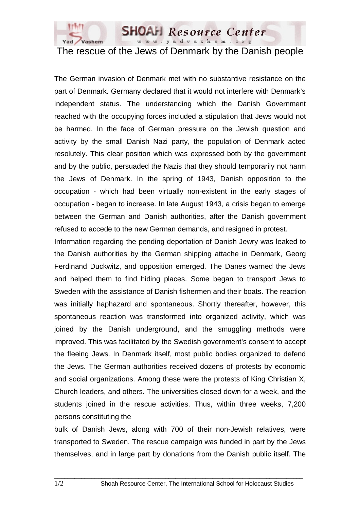

**SHOAH** Resource Center www.yadvashem.org

## The rescue of the Jews of Denmark by the Danish people

The German invasion of Denmark met with no substantive resistance on the part of Denmark. Germany declared that it would not interfere with Denmark's independent status. The understanding which the Danish Government reached with the occupying forces included a stipulation that Jews would not be harmed. In the face of German pressure on the Jewish question and activity by the small Danish Nazi party, the population of Denmark acted resolutely. This clear position which was expressed both by the government and by the public, persuaded the Nazis that they should temporarily not harm the Jews of Denmark. In the spring of 1943, Danish opposition to the occupation - which had been virtually non-existent in the early stages of occupation - began to increase. In late August 1943, a crisis began to emerge between the German and Danish authorities, after the Danish government refused to accede to the new German demands, and resigned in protest.

Information regarding the pending deportation of Danish Jewry was leaked to the Danish authorities by the German shipping attache in Denmark, Georg Ferdinand Duckwitz, and opposition emerged. The Danes warned the Jews and helped them to find hiding places. Some began to transport Jews to Sweden with the assistance of Danish fishermen and their boats. The reaction was initially haphazard and spontaneous. Shortly thereafter, however, this spontaneous reaction was transformed into organized activity, which was joined by the Danish underground, and the smuggling methods were improved. This was facilitated by the Swedish government's consent to accept the fleeing Jews. In Denmark itself, most public bodies organized to defend the Jews. The German authorities received dozens of protests by economic and social organizations. Among these were the protests of King Christian X, Church leaders, and others. The universities closed down for a week, and the students joined in the rescue activities. Thus, within three weeks, 7,200 persons constituting the

bulk of Danish Jews, along with 700 of their non-Jewish relatives, were transported to Sweden. The rescue campaign was funded in part by the Jews themselves, and in large part by donations from the Danish public itself. The

 $\Box$  . The contribution of the contribution of the contribution of the contribution of the contribution of the contribution of the contribution of the contribution of the contribution of the contribution of the contributi